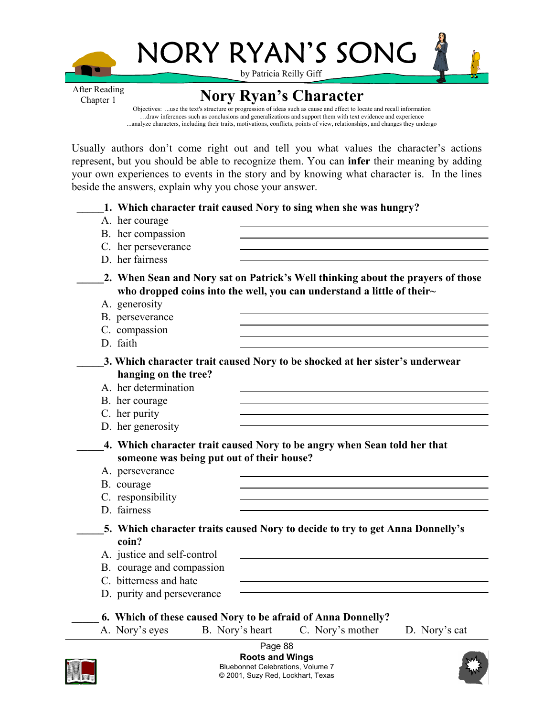

by Patricia Reilly Giff

NORY RYAN'S SONG



After Reading Chapter 1

**Nory Ryan's Character**

Objectives: ...use the text's structure or progression of ideas such as cause and effect to locate and recall information …draw inferences such as conclusions and generalizations and support them with text evidence and experience ...analyze characters, including their traits, motivations, conflicts, points of view, relationships, and changes they undergo

Usually authors don't come right out and tell you what values the character's actions represent, but you should be able to recognize them. You can **infer** their meaning by adding your own experiences to events in the story and by knowing what character is. In the lines beside the answers, explain why you chose your answer.

**\_\_\_\_\_1. Which character trait caused Nory to sing when she was hungry?** 

- A. her courage
- B. her compassion
- C. her perseverance
- D. her fairness
- **\_\_\_\_\_2. When Sean and Nory sat on Patrick's Well thinking about the prayers of those who dropped coins into the well, you can understand a little of their~**
	- A. generosity
	- B. perseverance
	- C. compassion
	- D. faith

**\_\_\_\_\_3. Which character trait caused Nory to be shocked at her sister's underwear hanging on the tree?** 

- A. her determination
- B. her courage
- C. her purity
- D. her generosity
- **\_\_\_\_\_4. Which character trait caused Nory to be angry when Sean told her that someone was being put out of their house?**
- A. perseverance
- B. courage
- C. responsibility
- D. fairness

**\_\_\_\_\_5. Which character traits caused Nory to decide to try to get Anna Donnelly's coin?**

- A. justice and self-control
- B. courage and compassion
- C. bitterness and hate
- D. purity and perseverance
- **\_\_\_\_\_ 6. Which of these caused Nory to be afraid of Anna Donnelly?**
- A. Nory's eyes B. Nory's heart C. Nory's mother D. Nory's cat